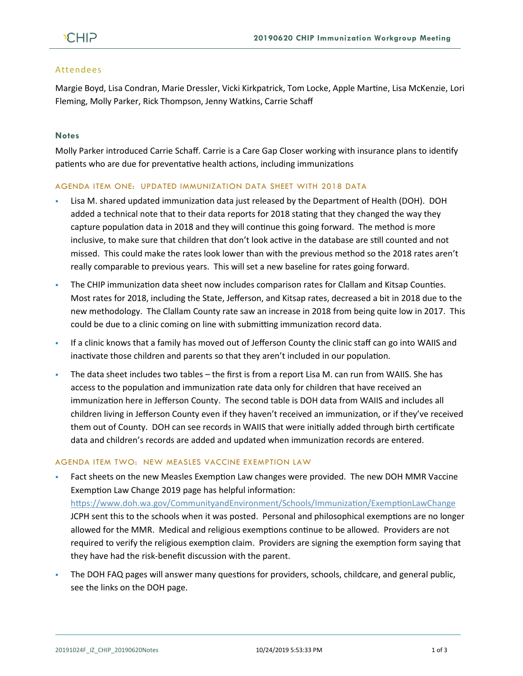## Attendees

Margie Boyd, Lisa Condran, Marie Dressler, Vicki Kirkpatrick, Tom Locke, Apple Martine, Lisa McKenzie, Lori Fleming, Molly Parker, Rick Thompson, Jenny Watkins, Carrie Schaff

# **Notes**

Molly Parker introduced Carrie Schaff. Carrie is a Care Gap Closer working with insurance plans to identify patients who are due for preventative health actions, including immunizations

### AGENDA ITEM ONE: UPDATED IMMUNIZATION DATA SHEET WITH 2018 DATA

- Lisa M. shared updated immunization data just released by the Department of Health (DOH). DOH added a technical note that to their data reports for 2018 stating that they changed the way they capture population data in 2018 and they will continue this going forward. The method is more inclusive, to make sure that children that don't look active in the database are still counted and not missed. This could make the rates look lower than with the previous method so the 2018 rates aren't really comparable to previous years. This will set a new baseline for rates going forward.
- The CHIP immunization data sheet now includes comparison rates for Clallam and Kitsap Counties. Most rates for 2018, including the State, Jefferson, and Kitsap rates, decreased a bit in 2018 due to the new methodology. The Clallam County rate saw an increase in 2018 from being quite low in 2017. This could be due to a clinic coming on line with submitting immunization record data.
- If a clinic knows that a family has moved out of Jefferson County the clinic staff can go into WAIIS and inactivate those children and parents so that they aren't included in our population.
- **•** The data sheet includes two tables the first is from a report Lisa M. can run from WAIIS. She has access to the population and immunization rate data only for children that have received an immunization here in Jefferson County. The second table is DOH data from WAIIS and includes all children living in Jefferson County even if they haven't received an immunization, or if they've received them out of County. DOH can see records in WAIIS that were initially added through birth certificate data and children's records are added and updated when immunization records are entered.

### AGENDA ITEM TWO: NEW MEASLES VACCINE EXEMPTION LAW

- Fact sheets on the new Measles Exemption Law changes were provided. The new DOH MMR Vaccine Exemption Law Change 2019 page has helpful information: <https://www.doh.wa.gov/CommunityandEnvironment/Schools/Immunization/ExemptionLawChange> JCPH sent this to the schools when it was posted. Personal and philosophical exemptions are no longer allowed for the MMR. Medical and religious exemptions continue to be allowed. Providers are not required to verify the religious exemption claim. Providers are signing the exemption form saying that they have had the risk-benefit discussion with the parent.
- The DOH FAQ pages will answer many questions for providers, schools, childcare, and general public, see the links on the DOH page.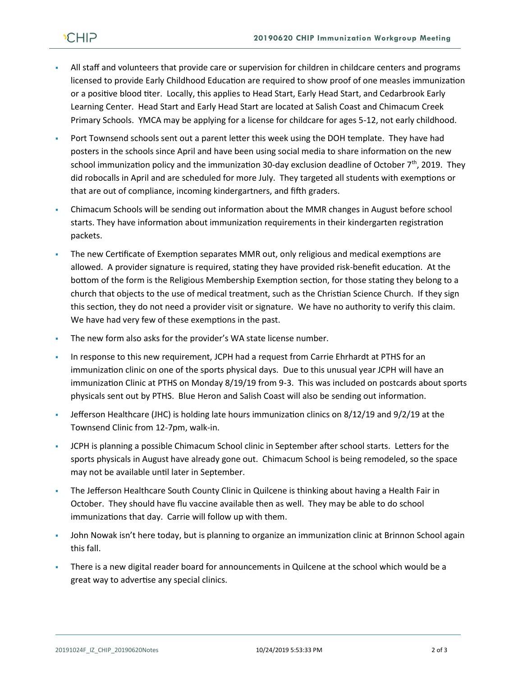- All staff and volunteers that provide care or supervision for children in childcare centers and programs licensed to provide Early Childhood Education are required to show proof of one measles immunization or a positive blood titer. Locally, this applies to Head Start, Early Head Start, and Cedarbrook Early Learning Center. Head Start and Early Head Start are located at Salish Coast and Chimacum Creek Primary Schools. YMCA may be applying for a license for childcare for ages 5-12, not early childhood.
- Port Townsend schools sent out a parent letter this week using the DOH template. They have had posters in the schools since April and have been using social media to share information on the new school immunization policy and the immunization 30-day exclusion deadline of October  $7<sup>th</sup>$ , 2019. They did robocalls in April and are scheduled for more July. They targeted all students with exemptions or that are out of compliance, incoming kindergartners, and fifth graders.
- Chimacum Schools will be sending out information about the MMR changes in August before school starts. They have information about immunization requirements in their kindergarten registration packets.
- The new Certificate of Exemption separates MMR out, only religious and medical exemptions are allowed. A provider signature is required, stating they have provided risk-benefit education. At the bottom of the form is the Religious Membership Exemption section, for those stating they belong to a church that objects to the use of medical treatment, such as the Christian Science Church. If they sign this section, they do not need a provider visit or signature. We have no authority to verify this claim. We have had very few of these exemptions in the past.
- The new form also asks for the provider's WA state license number.
- **In response to this new requirement, JCPH had a request from Carrie Ehrhardt at PTHS for an** immunization clinic on one of the sports physical days. Due to this unusual year JCPH will have an immunization Clinic at PTHS on Monday 8/19/19 from 9-3. This was included on postcards about sports physicals sent out by PTHS. Blue Heron and Salish Coast will also be sending out information.
- Jefferson Healthcare (JHC) is holding late hours immunization clinics on 8/12/19 and 9/2/19 at the Townsend Clinic from 12-7pm, walk-in.
- JCPH is planning a possible Chimacum School clinic in September after school starts. Letters for the sports physicals in August have already gone out. Chimacum School is being remodeled, so the space may not be available until later in September.
- The Jefferson Healthcare South County Clinic in Quilcene is thinking about having a Health Fair in October. They should have flu vaccine available then as well. They may be able to do school immunizations that day. Carrie will follow up with them.
- John Nowak isn't here today, but is planning to organize an immunization clinic at Brinnon School again this fall.
- There is a new digital reader board for announcements in Quilcene at the school which would be a great way to advertise any special clinics.